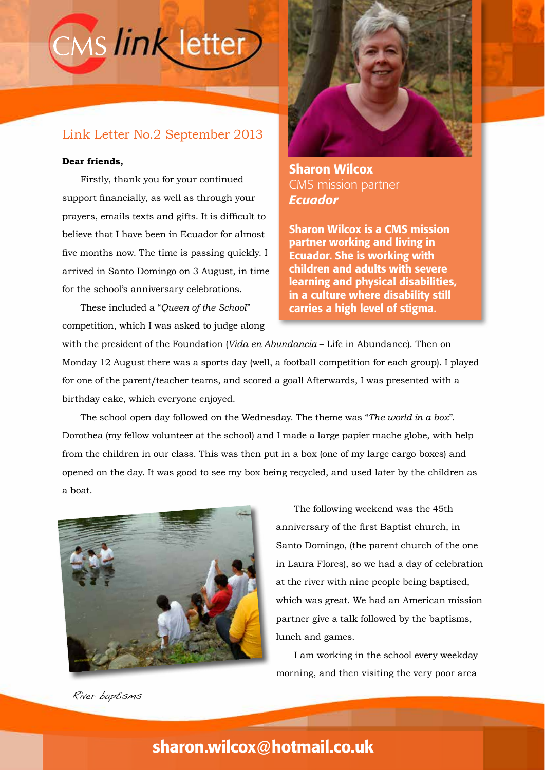# CMS link letter

### Link Letter No.2 September 2013

#### **Dear friends,**

Firstly, thank you for your continued support financially, as well as through your prayers, emails texts and gifts. It is difficult to believe that I have been in Ecuador for almost five months now. The time is passing quickly. I arrived in Santo Domingo on 3 August, in time for the school's anniversary celebrations.

These included a "*Queen of the School*" competition, which I was asked to judge along



Sharon Wilcox CMS mission partner *Ecuador*

Sharon Wilcox is a CMS mission partner working and living in Ecuador. She is working with children and adults with severe learning and physical disabilities, in a culture where disability still carries a high level of stigma.

with the president of the Foundation (*Vida en Abundancia* – Life in Abundance). Then on Monday 12 August there was a sports day (well, a football competition for each group). I played for one of the parent/teacher teams, and scored a goal! Afterwards, I was presented with a birthday cake, which everyone enjoyed.

The school open day followed on the Wednesday. The theme was "*The world in a box*". Dorothea (my fellow volunteer at the school) and I made a large papier mache globe, with help from the children in our class. This was then put in a box (one of my large cargo boxes) and opened on the day. It was good to see my box being recycled, and used later by the children as a boat.



The following weekend was the 45th anniversary of the first Baptist church, in Santo Domingo, (the parent church of the one in Laura Flores), so we had a day of celebration at the river with nine people being baptised, which was great. We had an American mission partner give a talk followed by the baptisms, lunch and games.

I am working in the school every weekday morning, and then visiting the very poor area

River baptisms

## sharon.wilcox@hotmail.co.uk